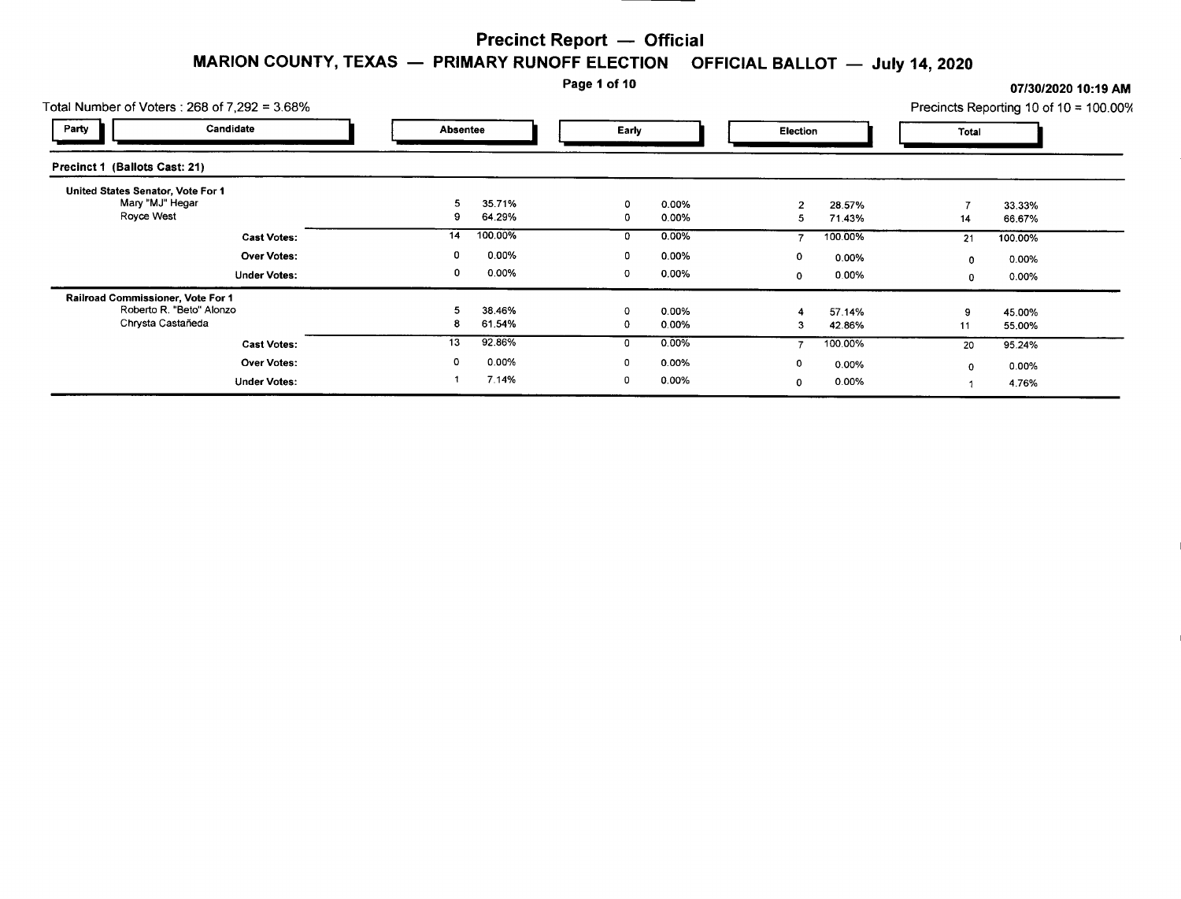#### Page 1 of 10 **07/30/2020 10:19 AM**

| Total Number of Voters: 268 of 7,292 = 3.68%                                       |                                           |  |                             | .      |                   |                     |                   |         | UNIJUZUZU TUTTU AN<br>Precincts Reporting 10 of 10 = 100.00 |
|------------------------------------------------------------------------------------|-------------------------------------------|--|-----------------------------|--------|-------------------|---------------------|-------------------|---------|-------------------------------------------------------------|
| Party                                                                              | Candidate                                 |  | Absentee                    |        | Early             |                     | Election          |         |                                                             |
| Precinct 1 (Ballots Cast: 21)                                                      |                                           |  |                             |        |                   |                     |                   |         |                                                             |
| United States Senator, Vote For 1<br>Mary "MJ" Hegar<br>Royce West                 |                                           |  | 5<br>35.71%<br>64.29%<br>9  | 0<br>0 | 0.00%<br>0.00%    | $\overline{2}$<br>5 | 28.57%<br>71.43%  | 14      | 33.33%<br>66.67%                                            |
|                                                                                    | <b>Cast Votes:</b><br><b>Over Votes:</b>  |  | 100.00%<br>14<br>0.00%<br>0 | 0<br>0 | $0.00\%$<br>0.00% | 0                   | 100.00%<br>0.00%  | 21<br>0 | 100.00%<br>0.00%                                            |
|                                                                                    | <b>Under Votes:</b>                       |  | 0.00%<br>0                  | 0      | 0.00%             | 0                   | $0.00\%$          | 0       | 0.00%                                                       |
| Railroad Commissioner, Vote For 1<br>Roberto R. "Beto" Alonzo<br>Chrysta Castañeda |                                           |  | 5<br>38.46%<br>61.54%<br>8  | 0<br>0 | 0.00%<br>0.00%    | 3                   | 57.14%<br>42.86%  | 9<br>11 | 45.00%<br>55.00%                                            |
|                                                                                    | <b>Cast Votes:</b>                        |  | 92.86%<br>13                | 0      | 0.00%             |                     | 100.00%           | 20      | 95.24%                                                      |
|                                                                                    | <b>Over Votes:</b><br><b>Under Votes:</b> |  | 0.00%<br>0<br>7.14%         | 0<br>0 | 0.00%<br>0.00%    | 0<br>0              | $0.00\%$<br>0.00% | 0       | 0.00%<br>4.76%                                              |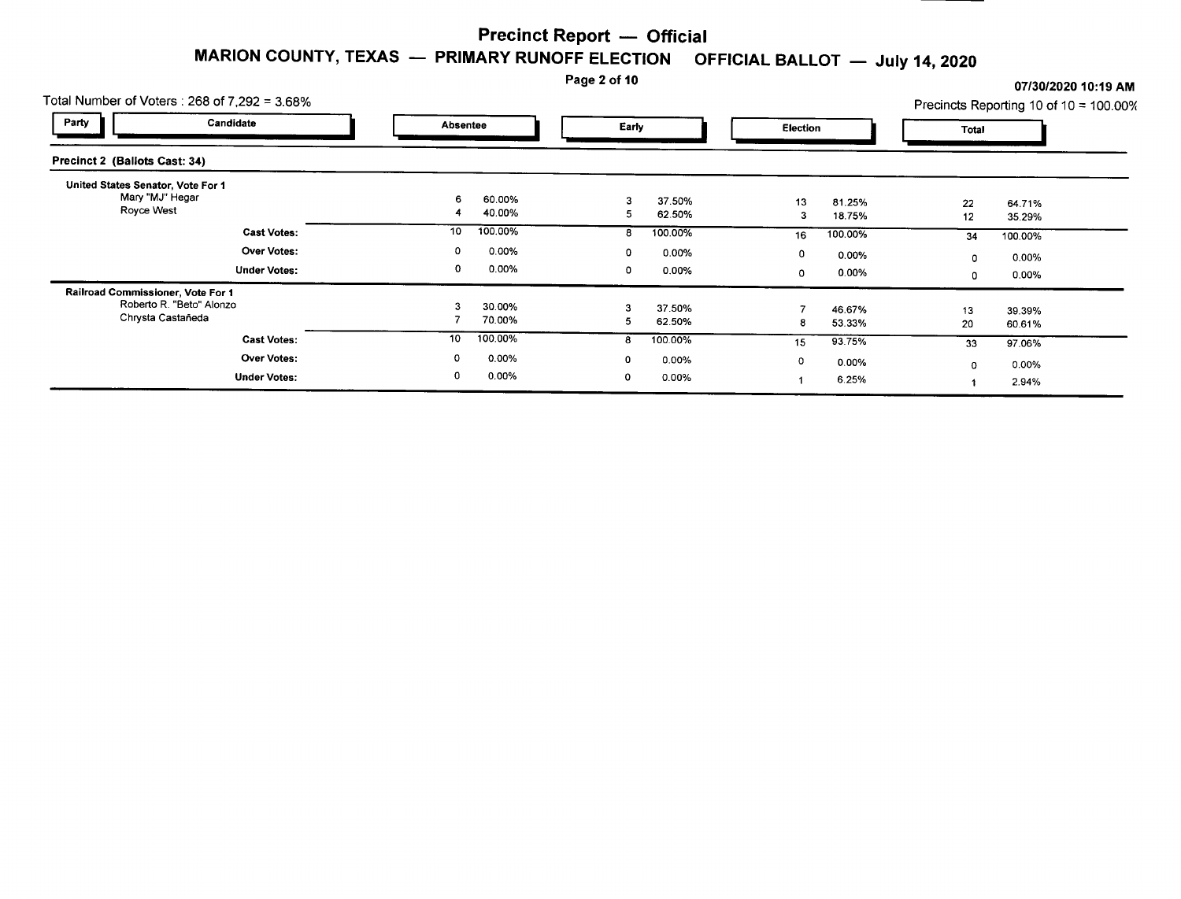# Page 2 of 10 **07/30/2020 10:19 AM** 07/30/2020 10:19 AM

|                                                 | Total Number of Voters: $268$ of 7,292 = 3.68% |        |                  |        |                   |         |                  |          | Precincts Reporting 10 of 10 = $100.00\%$ |
|-------------------------------------------------|------------------------------------------------|--------|------------------|--------|-------------------|---------|------------------|----------|-------------------------------------------|
| Party                                           | Candidate                                      |        | Absentee         |        | Early             |         | Election         |          |                                           |
| Precinct 2 (Ballots Cast: 34)                   |                                                |        |                  |        |                   |         |                  |          |                                           |
| United States Senator, Vote For 1<br>Royce West | Mary "MJ" Hegar                                | 6<br>4 | 60.00%<br>40.00% | 5      | 37.50%<br>62.50%  | 13<br>3 | 81.25%<br>18.75% | 22<br>12 | 64.71%<br>35.29%                          |
|                                                 | <b>Cast Votes:</b>                             | 10     | 100.00%          | 8      | 100.00%           | 16      | 100.00%          | 34       | 100.00%                                   |
|                                                 | <b>Over Votes:</b>                             | 0      | 0.00%            | 0      | $0.00\%$          | 0       | 0.00%            | 0        | 0.00%                                     |
|                                                 | <b>Under Votes:</b>                            | 0      | 0.00%            | 0      | 0.00%             | 0       | 0.00%            | 0        | 0.00%                                     |
| Railroad Commissioner, Vote For 1               | Roberto R. "Beto" Alonzo<br>Chrysta Castaneda  |        | 30.00%<br>70.00% | b.     | 37.50%<br>62.50%  |         | 46.67%<br>53.33% | 13<br>20 | 39.39%<br>60.61%                          |
|                                                 | <b>Cast Votes:</b>                             | 10     | 100.00%          | 8      | 100.00%           | 15      | 93.75%           | 33       | 97.06%                                    |
|                                                 | <b>Over Votes:</b><br><b>Under Votes:</b>      | 0<br>0 | 0.00%<br>0.00%   | 0<br>0 | 0.00%<br>$0.00\%$ | 0       | 0.00%            | 0        | 0.00%                                     |
|                                                 |                                                |        |                  |        |                   |         | 6.25%            |          | 2.94%                                     |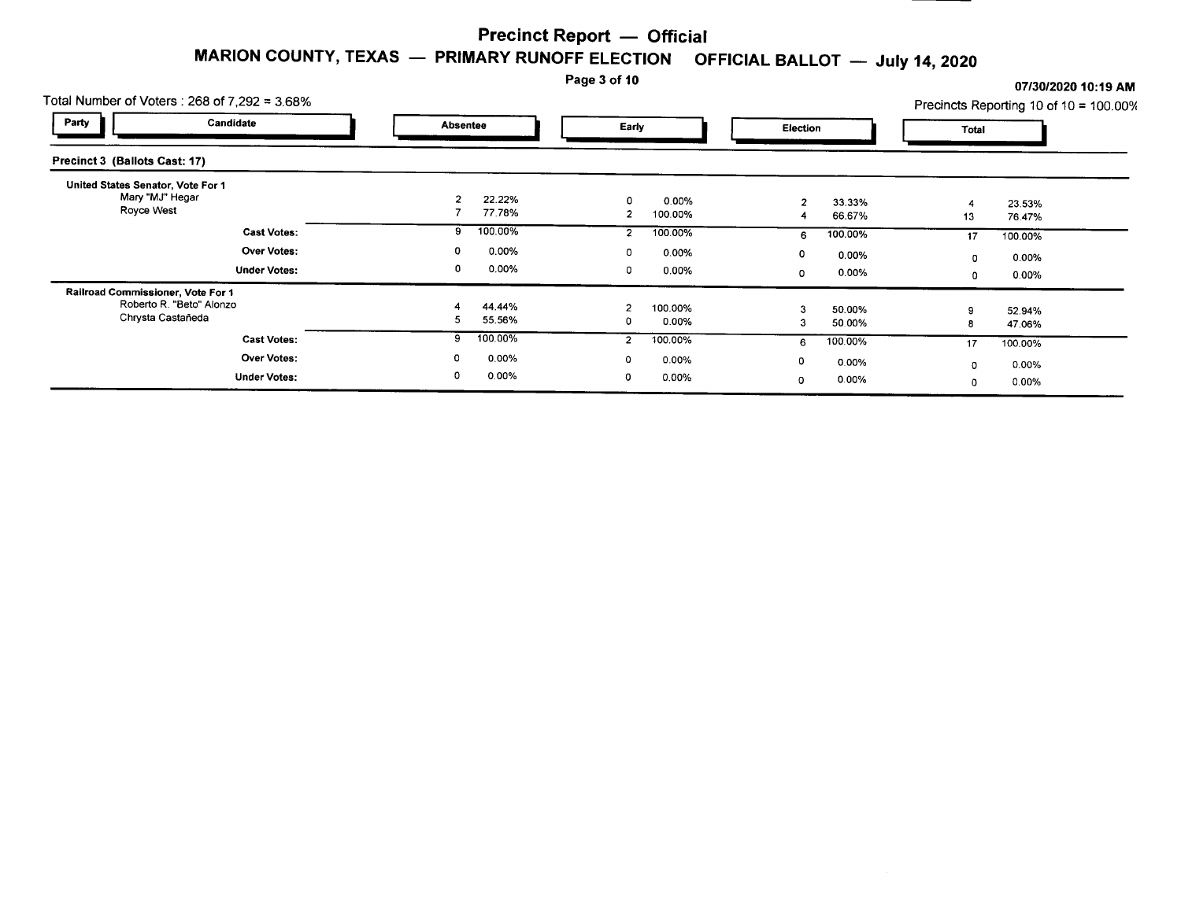# Page 3 of 10 **07/30/2020 10:19** AM

| Total Number of Voters: $268$ of $7.292 = 3.68\%$                                  |                                    |                            |                                    | . <b>.</b><br>Precincts Reporting 10 of 10 = 100.00% |
|------------------------------------------------------------------------------------|------------------------------------|----------------------------|------------------------------------|------------------------------------------------------|
| Party<br>Candidate                                                                 | <b>Absentee</b>                    | Early                      | Election                           | Total                                                |
| Precinct 3 (Ballots Cast: 17)                                                      |                                    |                            |                                    |                                                      |
| United States Senator, Vote For 1<br>Mary "MJ" Hegar<br>Royce West                 | $\overline{2}$<br>22.22%<br>77.78% | 0<br>0.00%<br>100.00%<br>2 | 33.33%<br>$\overline{2}$<br>66.67% | 23.53%<br>4<br>76.47%<br>13                          |
| <b>Cast Votes:</b>                                                                 | 100.00%<br>9                       | 100.00%<br>2               | 100.00%<br>6                       | 17<br>100.00%                                        |
| <b>Over Votes:</b>                                                                 | 0.00%<br>0                         | 0.00%<br>0                 | 0<br>$0.00\%$                      | 0.00%<br>$\mathbf 0$                                 |
| <b>Under Votes:</b>                                                                | 0<br>0.00%                         | 0<br>0.00%                 | 0.00%<br>0                         | 0.00%<br>0                                           |
| Railroad Commissioner, Vote For 1<br>Roberto R. "Beto" Alonzo<br>Chrysta Castañeda | 44.44%<br>55.56%<br>5              | 2<br>100.00%<br>0.00%<br>0 | 50.00%<br>50.00%<br>3              | 52.94%<br>47.06%                                     |
| <b>Cast Votes:</b>                                                                 | 100.00%<br>9                       | 100.00%<br>2               | 100.00%<br>6                       | 17<br>100.00%                                        |
| Over Votes:<br><b>Under Votes:</b>                                                 | 0<br>0.00%<br>0<br>$0.00\%$        | 0.00%<br>0<br>0.00%        | 0<br>0.00%<br>0.00%<br>0           | 0.00%<br>0<br>$0.00\%$<br>0                          |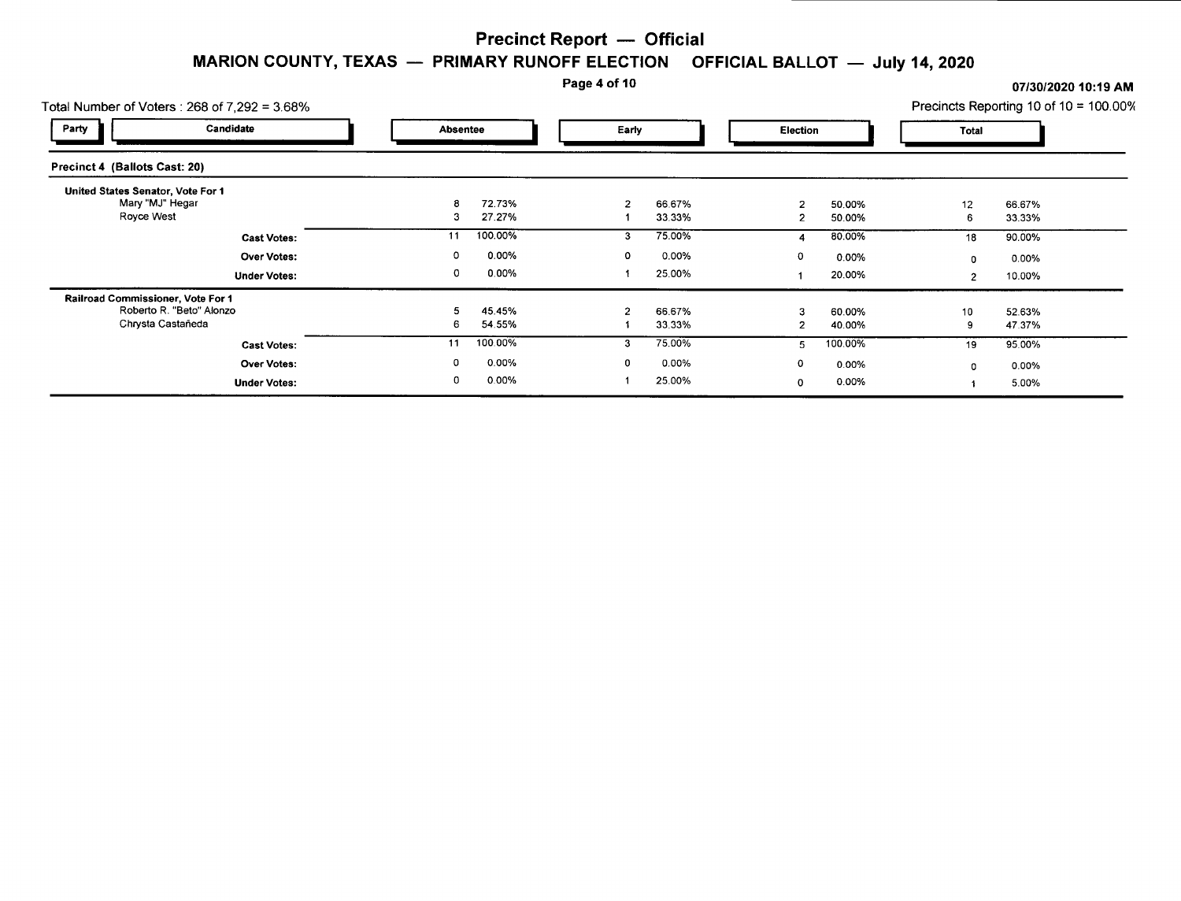#### Page 4 of 10 *07/30/2020* **10:19 AM**

| Total Number of Voters: $268$ of $7.292 = 3.68\%$ |                      |             |                      | Precincts Reporting 10 of 10 = 100.00% |
|---------------------------------------------------|----------------------|-------------|----------------------|----------------------------------------|
| Party<br>Candidate                                | <b>Absentee</b>      | Early       | Election             | Total                                  |
| Precinct 4 (Ballots Cast: 20)                     |                      |             |                      |                                        |
| United States Senator, Vote For 1                 |                      |             |                      |                                        |
| Mary "MJ" Hegar                                   | 72.73%<br>8          | 66.67%      | 50.00%<br>າ          | 12<br>66.67%                           |
| Royce West                                        | 27.27%<br>3          | 33.33%      | 50.00%               | 33.33%<br>6                            |
| <b>Cast Votes:</b>                                | 100.00%<br>11        | 75.00%<br>3 | 80.00%               | 90.00%<br>18                           |
| Over Votes:                                       | 0.00%<br>0           | 0.00%<br>Ω  | $\circ$<br>0.00%     | 0.00%<br>0                             |
| <b>Under Votes:</b>                               | 0<br>0.00%           | 25.00%      | 20.00%               | 10.00%<br>$\overline{2}$               |
| Railroad Commissioner, Vote For 1                 |                      |             |                      |                                        |
| Roberto R. "Beto" Alonzo                          | 45.45%               | 66.67%      | 60.00%               | 52.63%<br>10                           |
| Chrysta Castañeda                                 | 54.55%<br>6          | 33.33%      | 40.00%               | 47.37%<br>9                            |
| <b>Cast Votes:</b>                                | 100.00%<br>11        | 75.00%      | 100.00%<br>5         | 95.00%<br>19                           |
| <b>Over Votes:</b>                                | $\mathbf 0$<br>0.00% | 0.00%       | $\mathbf 0$<br>0.00% | $0.00\%$<br>O                          |
| <b>Under Votes:</b>                               | 0.00%<br>0           | 25.00%      | 0.00%<br>0           | 5.00%                                  |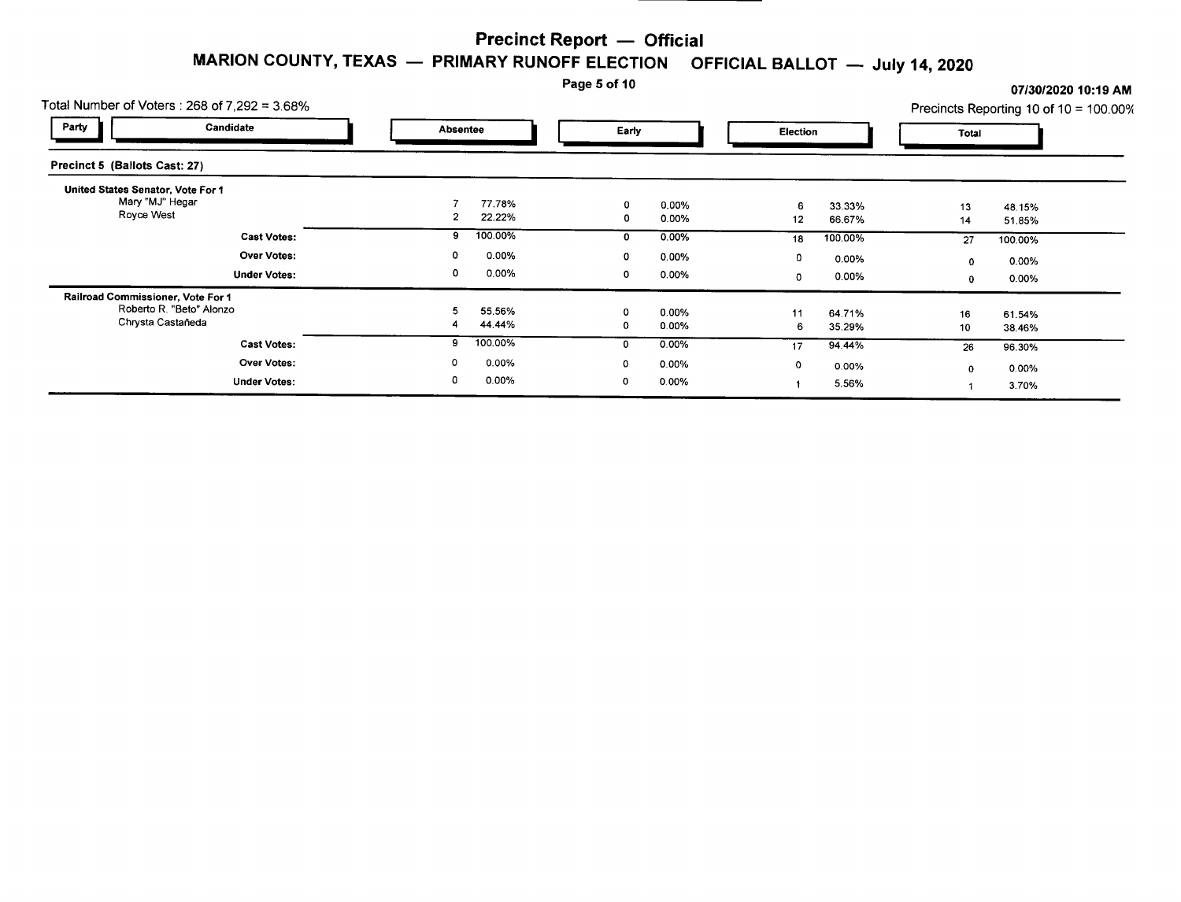Page 5 of 10 **07/30/2020 10:19 AM** 

|                                                 | Total Number of Voters : 268 of 7,292 = 3.68% |        |                  | Page 5 of 10 |                   |                  |                  |              | 07/30/2020 10:19 AM<br>Precincts Reporting 10 of $10 = 100.00\%$ |  |
|-------------------------------------------------|-----------------------------------------------|--------|------------------|--------------|-------------------|------------------|------------------|--------------|------------------------------------------------------------------|--|
| Party                                           | Candidate                                     |        | <b>Absentee</b>  |              | Early             |                  | Election         |              |                                                                  |  |
| Precinct 5 (Ballots Cast: 27)                   |                                               |        |                  |              |                   |                  |                  |              |                                                                  |  |
| United States Senator, Vote For 1<br>Royce West | Mary "MJ" Hegar                               |        | 77.78%<br>22.22% | 0            | 0.00%<br>0.00%    | 12               | 33.33%<br>66.67% | 13<br>14     | 48.15%<br>51.85%                                                 |  |
|                                                 | <b>Cast Votes:</b>                            | 9      | 100.00%          | 0            | 0.00%             | 18               | 100.00%          | 27           | 100.00%                                                          |  |
|                                                 | <b>Over Votes:</b><br><b>Under Votes:</b>     | 0<br>0 | 0.00%<br>0.00%   | 0<br>0       | 0.00%<br>0.00%    | 0<br>$\mathbf 0$ | 0.00%<br>0.00%   | 0<br>0       | 0.00%<br>0.00%                                                   |  |
| Railroad Commissioner, Vote For 1               | Roberto R. "Beto" Alonzo<br>Chrysta Castañeda |        | 55.56%<br>44.44% | 0            | 0.00%<br>0.00%    | 11<br>6          | 64.71%<br>35.29% | 16<br>10     | 61.54%<br>38.46%                                                 |  |
|                                                 | <b>Cast Votes:</b>                            | 9      | 100.00%          | 0            | 0.00%             | 17               | 94.44%           | 26           | 96.30%                                                           |  |
|                                                 | Over Votes:<br><b>Under Votes:</b>            | 0      | 0.00%<br>0.00%   | $\Omega$     | $0.00\%$<br>0.00% | $\mathbf 0$      | 0.00%<br>5.56%   | $\mathbf{0}$ | 0.00%<br>3.70%                                                   |  |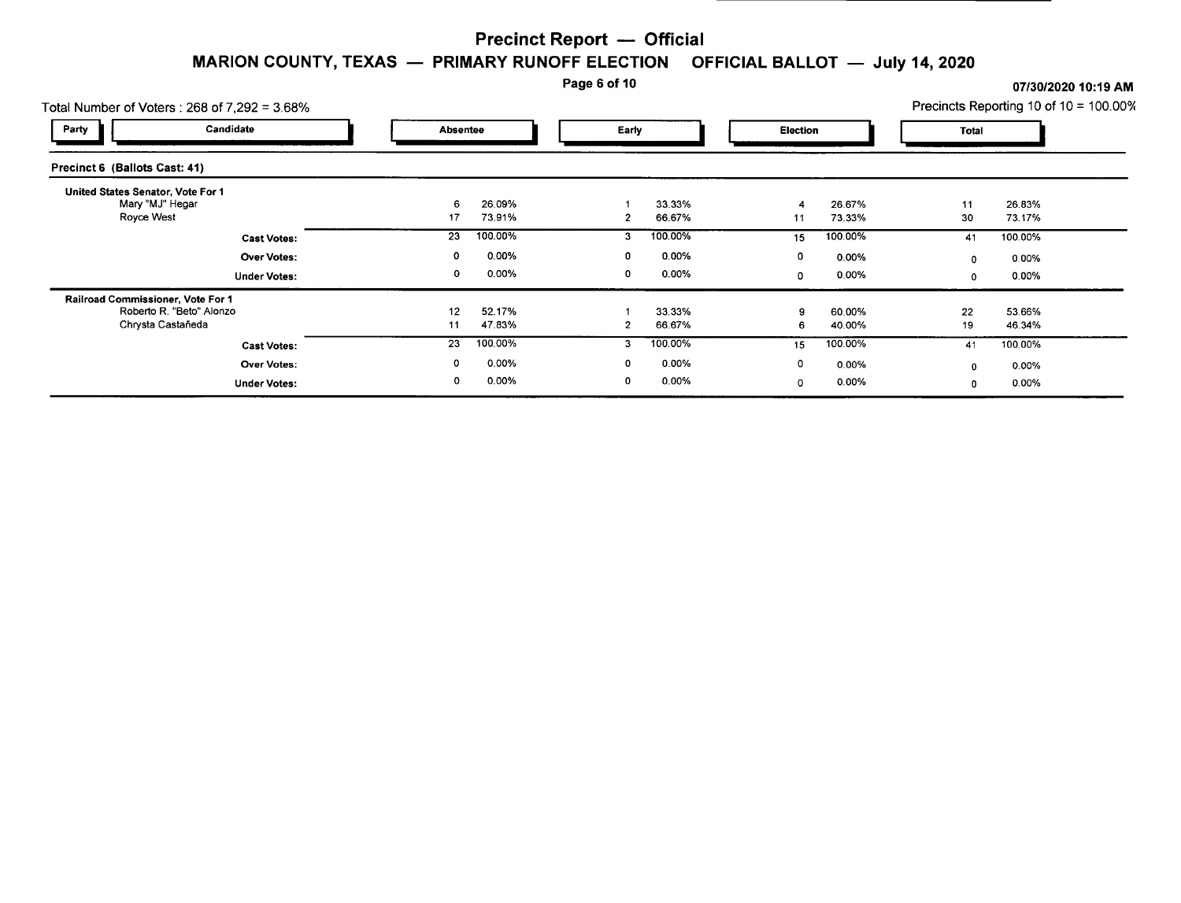#### Page 6 of 10 **07/30/2020 10:19** AM

| Total Number of Voters : $268$ of $7.292 = 3.68\%$ |                 | Precincts Reporting 10 of 10 = 100.00% |       |         |    |             |              |         |  |
|----------------------------------------------------|-----------------|----------------------------------------|-------|---------|----|-------------|--------------|---------|--|
| Candidate<br>Party                                 | <b>Absentee</b> |                                        | Early |         |    | Election    |              | Total   |  |
| Precinct 6 (Ballots Cast: 41)                      |                 |                                        |       |         |    |             |              |         |  |
| United States Senator, Vote For 1                  |                 |                                        |       |         |    |             |              |         |  |
| Mary "MJ" Hegar                                    | 26.09%<br>6     |                                        |       | 33.33%  |    | 26.67%      | 11           | 26.83%  |  |
| Royce West                                         | 73.91%<br>17    |                                        |       | 66.67%  | 11 | 73.33%      | 30           | 73.17%  |  |
| <b>Cast Votes:</b>                                 | 100.00%<br>23   |                                        | 3     | 100.00% | 15 | 100.00%     | 41           | 100.00% |  |
| <b>Over Votes:</b>                                 | 0               | 0.00%                                  | 0     | 0.00%   | 0  | 0.00%       | $^{\circ}$   | 0.00%   |  |
| <b>Under Votes:</b>                                | 0               | 0.00%                                  | 0     | 0.00%   | 0  | 0.00%       | $\mathbf 0$  | 0.00%   |  |
| Railroad Commissioner, Vote For 1                  |                 |                                        |       |         |    |             |              |         |  |
| Roberto R. "Beto" Alonzo                           | 52.17%<br>12    |                                        |       | 33.33%  |    | 60.00%      | 22           | 53.66%  |  |
| Chrysta Castañeda                                  | 47.83%<br>11    |                                        | 2     | 66.67%  |    | 40.00%<br>6 | 19           | 46.34%  |  |
| <b>Cast Votes:</b>                                 | 100.00%<br>23   |                                        | 3     | 100.00% | 15 | 100.00%     | 41           | 100.00% |  |
| Over Votes:                                        | 0               | 0.00%                                  | 0     | 0.00%   | 0  | 0.00%       | $\mathbf{0}$ | 0.00%   |  |
| <b>Under Votes:</b>                                | 0               | 0.00%                                  | 0     | 0.00%   | 0  | 0.00%       | $\Omega$     | 0.00%   |  |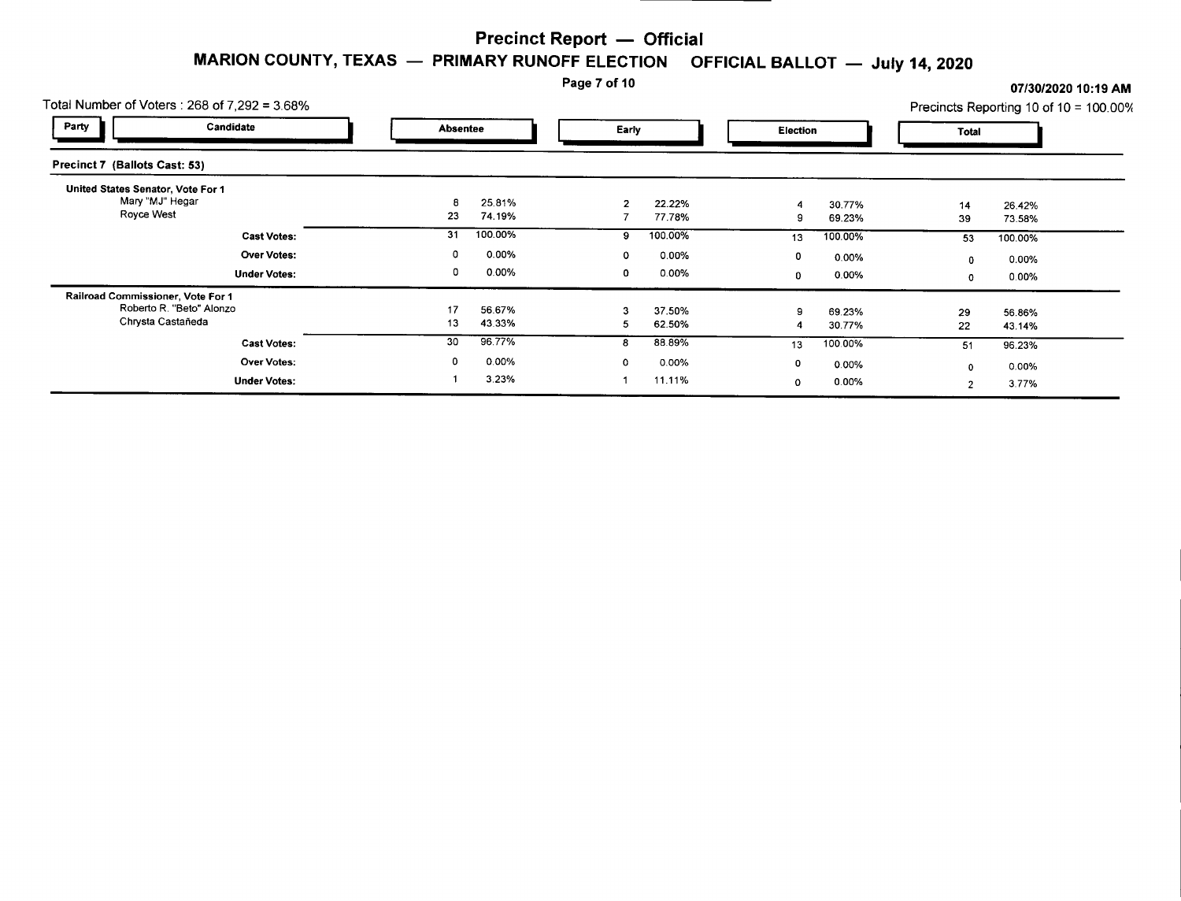Page 7 of 10

| Total Number of Voters : 268 of 7,292 = 3.68%        |    |                 | Page 7 of 10 |         |    |                 | Precincts Reporting 10 of 10 = 100.00% |         | 07/30/2020 10:19 AM |
|------------------------------------------------------|----|-----------------|--------------|---------|----|-----------------|----------------------------------------|---------|---------------------|
| Party<br>Candidate                                   |    | <b>Absentee</b> |              | Early   |    | <b>Election</b> |                                        |         |                     |
| Precinct 7 (Ballots Cast: 53)                        |    |                 |              |         |    |                 |                                        |         |                     |
| United States Senator, Vote For 1<br>Mary "MJ" Hegar |    | 25.81%          |              | 22.22%  |    | 30.77%          | 14                                     | 26.42%  |                     |
| Royce West                                           | 23 | 74.19%          |              | 77.78%  |    | 69.23%          | 39                                     | 73.58%  |                     |
| <b>Cast Votes:</b>                                   | 31 | 100.00%         | 9            | 100.00% | 13 | 100.00%         | 53                                     | 100.00% |                     |
| <b>Over Votes:</b>                                   | 0  | $0.00\%$        | 0            | 0.00%   | 0  | 0.00%           | 0                                      | 0.00%   |                     |
| <b>Under Votes:</b>                                  | 0  | 0.00%           | 0            | 0.00%   | 0  | 0.00%           | 0                                      | 0.00%   |                     |
| Railroad Commissioner, Vote For 1                    |    |                 |              |         |    |                 |                                        |         |                     |
| Roberto R. "Beto" Alonzo                             | 17 | 56.67%          |              | 37.50%  | 9  | 69.23%          | 29                                     | 56.86%  |                     |
| Chrysta Castañeda                                    | 13 | 43.33%          |              | 62.50%  |    | 30.77%          | 22                                     | 43.14%  |                     |
| <b>Cast Votes:</b>                                   | 30 | 96.77%          |              | 88.89%  | 13 | 100.00%         | 51                                     | 96.23%  |                     |
| <b>Over Votes:</b>                                   | 0  | 0.00%           | 0            | 0.00%   | 0  | 0.00%           | $\mathbf 0$                            | 0.00%   |                     |
| <b>Under Votes:</b>                                  |    | 3.23%           |              | 11.11%  | 0  | $0.00\%$        | 2                                      | 3.77%   |                     |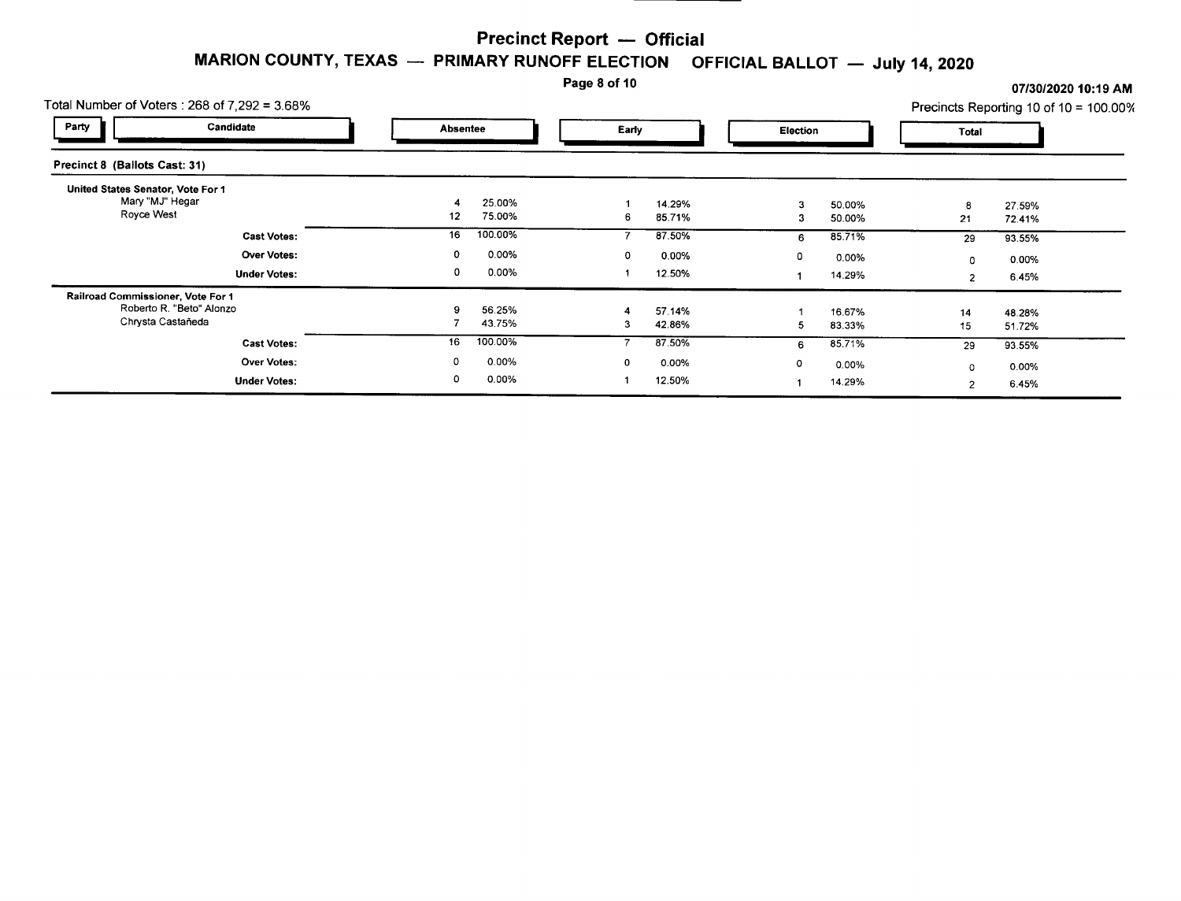Page 8 of 10 **07/30/2020 10:19 AM** 

| Total Number of Voters: $268$ of $7.292 = 3.68\%$                                  |                        |                       |                            |                              |  |  |  |  |  |  |  |
|------------------------------------------------------------------------------------|------------------------|-----------------------|----------------------------|------------------------------|--|--|--|--|--|--|--|
| Party<br>Candidate                                                                 | <b>Absentee</b>        | Early                 | <b>Election</b>            | Total                        |  |  |  |  |  |  |  |
| Precinct 8 (Ballots Cast: 31)                                                      |                        |                       |                            |                              |  |  |  |  |  |  |  |
| United States Senator, Vote For 1<br>Mary "MJ" Hegar<br>Royce West                 | 25.00%<br>75.00%<br>12 | 14.29%<br>85.71%<br>6 | 50.00%<br>з<br>50.00%<br>3 | 27.59%<br>8<br>21<br>72.41%  |  |  |  |  |  |  |  |
| <b>Cast Votes:</b>                                                                 | 100.00%<br>16          | 87.50%                | 85.71%<br>6                | 29<br>93.55%                 |  |  |  |  |  |  |  |
| <b>Over Votes:</b>                                                                 | 0.00%<br>0             | 0.00%<br>0            | $\mathbf 0$<br>0.00%       | 0.00%<br>0                   |  |  |  |  |  |  |  |
| <b>Under Votes:</b>                                                                | 0<br>0.00%             | 12.50%                | 14.29%                     | 6.45%<br>$\overline{2}$      |  |  |  |  |  |  |  |
| Railroad Commissioner, Vote For 1<br>Roberto R. "Beto" Alonzo<br>Chrysta Castañeda | 56.25%<br>9<br>43.75%  | 57.14%<br>42.86%<br>3 | 16.67%<br>83.33%<br>5      | 14<br>48.28%<br>15<br>51.72% |  |  |  |  |  |  |  |
| <b>Cast Votes:</b>                                                                 | 100.00%<br>16          | 87.50%                | 85.71%<br>6                | 93.55%<br>29                 |  |  |  |  |  |  |  |
| <b>Over Votes:</b>                                                                 | 0.00%<br>0             | 0.00%<br>0            | $\mathbf 0$<br>0.00%       | 0.00%<br>$^{\circ}$          |  |  |  |  |  |  |  |
| <b>Under Votes:</b>                                                                | 0.00%<br>٥             | 12.50%                | 14.29%                     | 6.45%<br>$\overline{2}$      |  |  |  |  |  |  |  |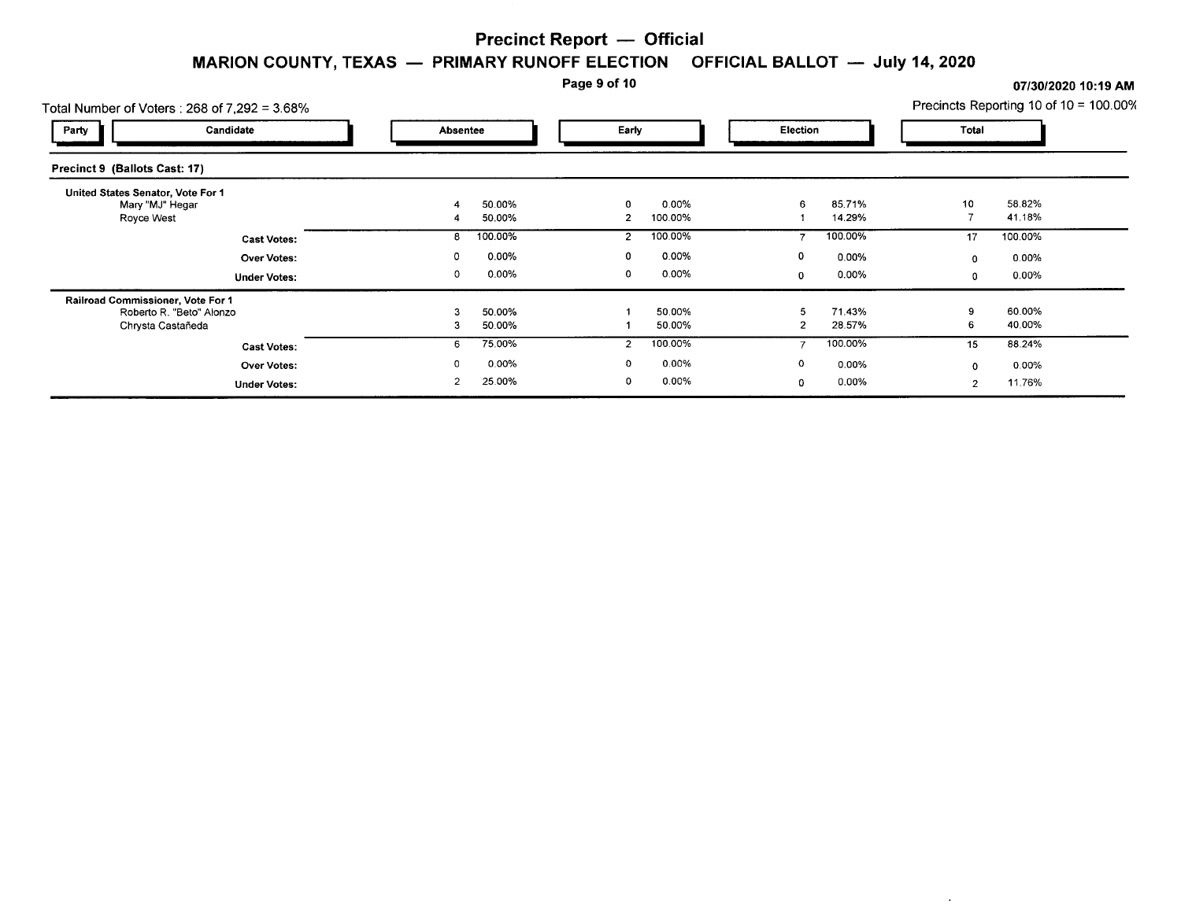#### Page 9 of 10 **07/30/2020 10:19** AM

 $\sim$ 

|                                                 |                                                                 |                          |                           | Page 9 of 10        |                           |        |                              |                           | 07/30/2020 10:19 AM                    |  |
|-------------------------------------------------|-----------------------------------------------------------------|--------------------------|---------------------------|---------------------|---------------------------|--------|------------------------------|---------------------------|----------------------------------------|--|
|                                                 | Total Number of Voters: 268 of 7.292 = 3.68%                    |                          |                           |                     |                           |        |                              |                           | Precincts Reporting 10 of 10 = 100.009 |  |
| Party                                           | Candidate                                                       |                          | Absentee                  |                     | Early                     |        | Election                     |                           |                                        |  |
| Precinct 9 (Ballots Cast: 17)                   |                                                                 |                          |                           |                     |                           |        |                              |                           |                                        |  |
| United States Senator, Vote For 1<br>Royce West | Mary "MJ" Hegar                                                 |                          | 50.00%<br>50.00%          | 2                   | 0.00%<br>100.00%          | 6      | 85.71%<br>14.29%             | 10                        | 58.82%<br>41.18%                       |  |
|                                                 | <b>Cast Votes:</b><br><b>Over Votes:</b><br><b>Under Votes:</b> | 0<br>0                   | 100.00%<br>0.00%<br>0.00% | 2<br>0              | 100.00%<br>0.00%<br>0.00% | 0<br>0 | 100.00%<br>0.00%<br>$0.00\%$ | 17<br>0<br>0              | 100.00%<br>0.00%<br>$0.00\%$           |  |
| Railroad Commissioner, Vote For 1               | Roberto R. "Beto" Alonzo<br>Chrysta Castañeda                   | 3                        | 50.00%<br>50.00%          |                     | 50.00%<br>50.00%          | 2      | 71.43%<br>28.57%             | $\Omega$<br>6             | 60.00%<br>40.00%                       |  |
|                                                 | <b>Cast Votes:</b><br><b>Over Votes:</b><br><b>Under Votes:</b> | 6<br>0<br>$\overline{2}$ | 75.00%<br>0.00%<br>25.00% | $\overline{2}$<br>0 | 100.00%<br>0.00%<br>0.00% | 0<br>0 | 100.00%<br>0.00%<br>0.00%    | 15<br>0<br>$\overline{2}$ | 88.24%<br>$0.00\%$<br>11.76%           |  |